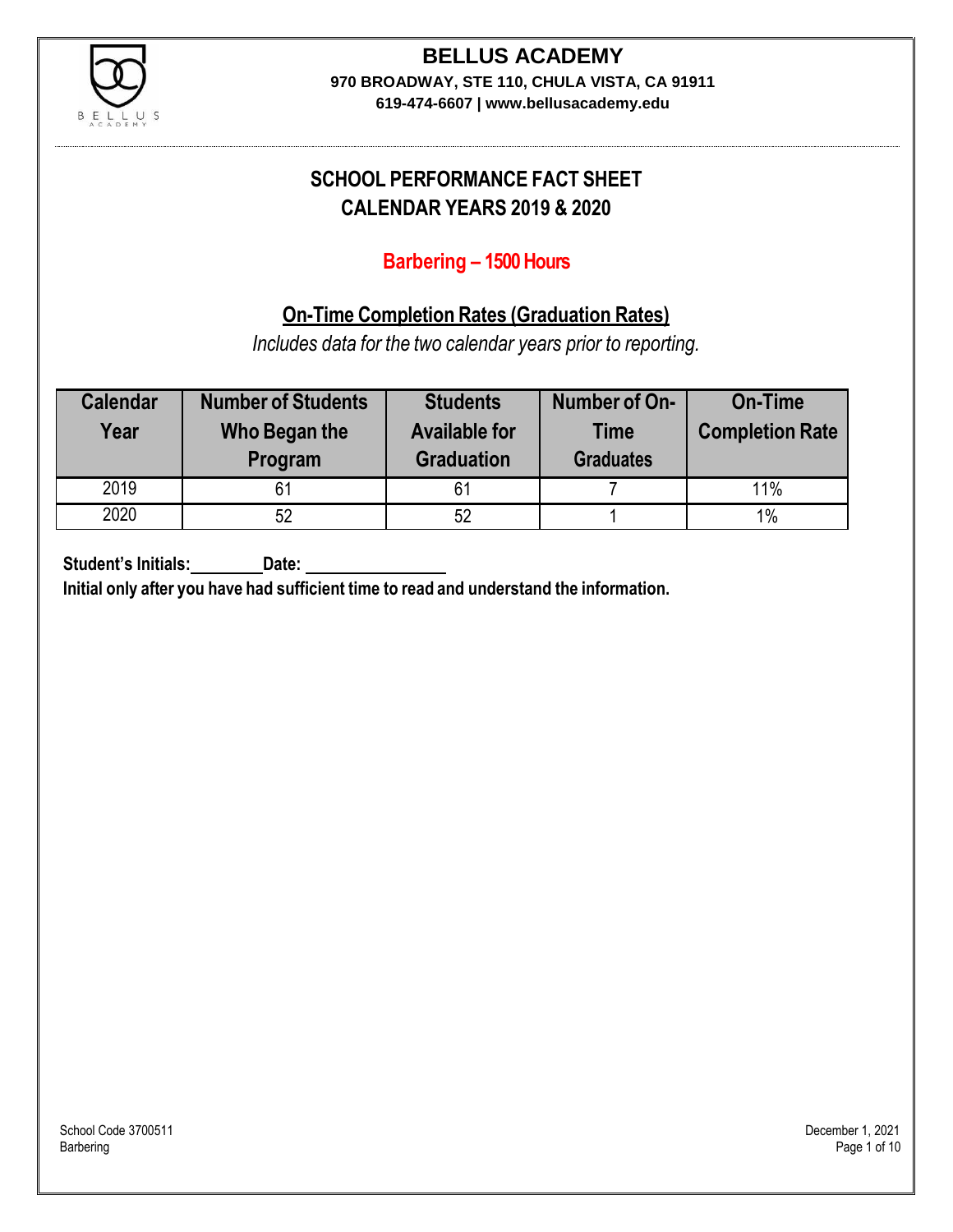

# **BELLUS ACADEMY**

**970 BROADWAY, STE 110, CHULA VISTA, CA 91911**

**619-474-6607 | www.bellusacademy.edu**

### **SCHOOL PERFORMANCE FACT SHEET CALENDAR YEARS 2019 & 2020**

### **Barbering – 1500 Hours**

### **On-Time Completion Rates (Graduation Rates)**

*Includes data for the two calendar years prior to reporting.*

| <b>Calendar</b><br>Year | <b>Number of Students</b><br>Who Began the<br>Program | <b>Students</b><br><b>Available for</b><br><b>Graduation</b> | Number of On-<br><b>Time</b><br><b>Graduates</b> | <b>On-Time</b><br><b>Completion Rate</b> |
|-------------------------|-------------------------------------------------------|--------------------------------------------------------------|--------------------------------------------------|------------------------------------------|
| 2019                    |                                                       | 61                                                           |                                                  | 11%                                      |
| 2020                    | 52                                                    | 52                                                           |                                                  | 1%                                       |

**Student's Initials: Date:**

**Initial only after you have had sufficient time to read and understand the information.**

School Code 3700511 December 1, 2021<br>Barbering Page 1 of 10 Barbering Page 1 of 10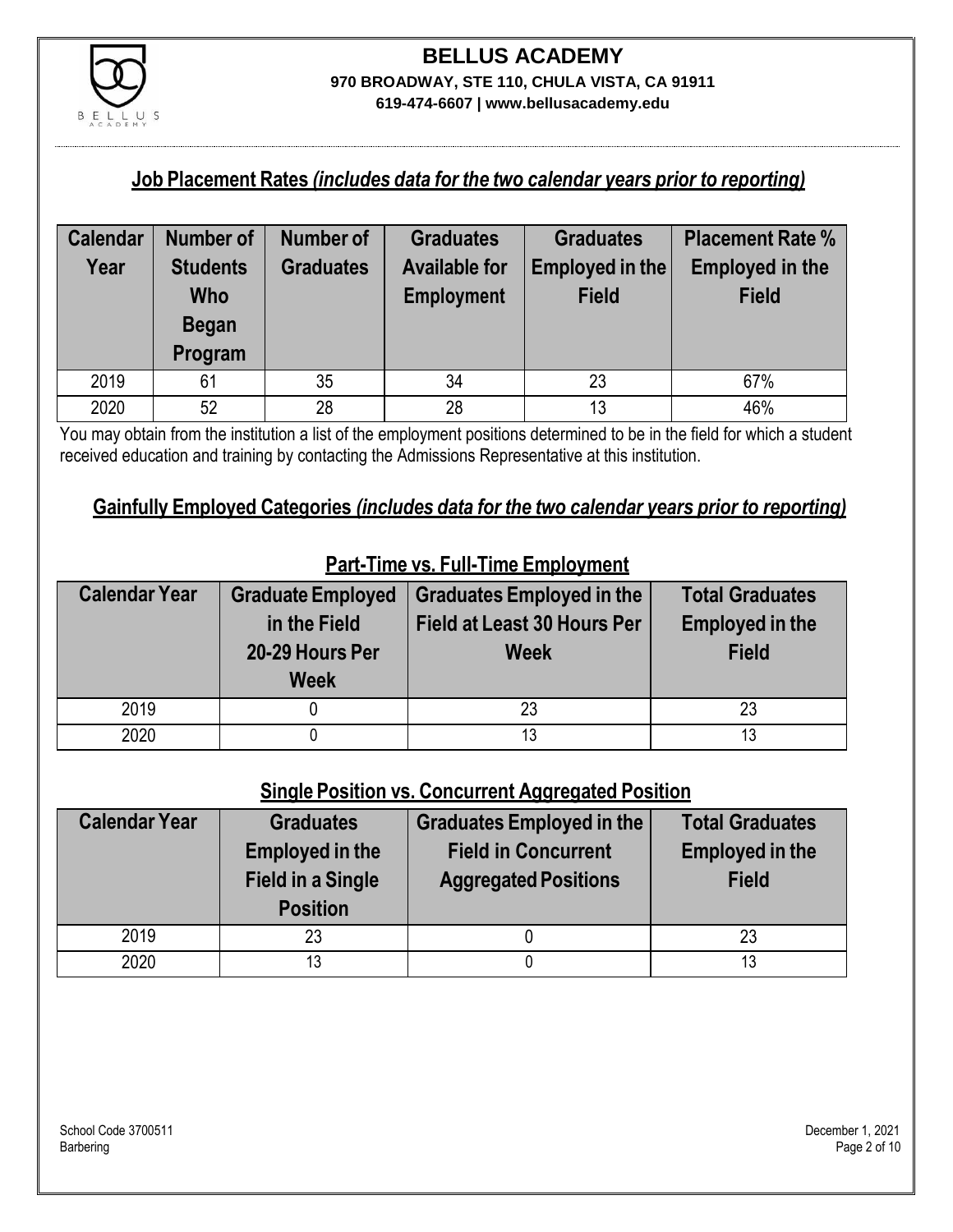

#### **Job Placement Rates** *(includes data for the two calendar years prior to reporting)*

| <b>Calendar</b> | <b>Number of</b> | <b>Number of</b> | <b>Graduates</b>     | <b>Graduates</b> | <b>Placement Rate %</b> |
|-----------------|------------------|------------------|----------------------|------------------|-------------------------|
| Year            | <b>Students</b>  | <b>Graduates</b> | <b>Available for</b> | Employed in the  | <b>Employed in the</b>  |
|                 | Who              |                  | <b>Employment</b>    | <b>Field</b>     | <b>Field</b>            |
|                 | <b>Began</b>     |                  |                      |                  |                         |
|                 | Program          |                  |                      |                  |                         |
| 2019            | 61               | 35               | 34                   | 23               | 67%                     |
| 2020            | 52               | 28               | 28                   | 13               | 46%                     |

You may obtain from the institution a list of the employment positions determined to be in the field for which a student received education and training by contacting the Admissions Representative at this institution.

#### **Gainfully Employed Categories** *(includes data for the two calendar years prior to reporting)*

| <b>Calendar Year</b> | <b>Graduate Employed</b><br>in the Field<br>20-29 Hours Per<br><b>Week</b> | <b>Graduates Employed in the</b><br><b>Field at Least 30 Hours Per</b><br><b>Week</b> | <b>Total Graduates</b><br><b>Employed in the</b><br><b>Field</b> |
|----------------------|----------------------------------------------------------------------------|---------------------------------------------------------------------------------------|------------------------------------------------------------------|
| 2019                 |                                                                            | 23                                                                                    | 23                                                               |
| 2020                 |                                                                            |                                                                                       | 13                                                               |

### **Part-Time vs. Full-Time Employment**

#### **Single Position vs. Concurrent Aggregated Position**

| <b>Calendar Year</b> | <b>Graduates</b><br><b>Employed in the</b><br><b>Field in a Single</b><br><b>Position</b> | <b>Graduates Employed in the</b><br><b>Field in Concurrent</b><br><b>Aggregated Positions</b> | <b>Total Graduates</b><br><b>Employed in the</b><br><b>Field</b> |
|----------------------|-------------------------------------------------------------------------------------------|-----------------------------------------------------------------------------------------------|------------------------------------------------------------------|
| 2019                 | 23                                                                                        |                                                                                               | 23                                                               |
| 2020                 | 13                                                                                        |                                                                                               | 13                                                               |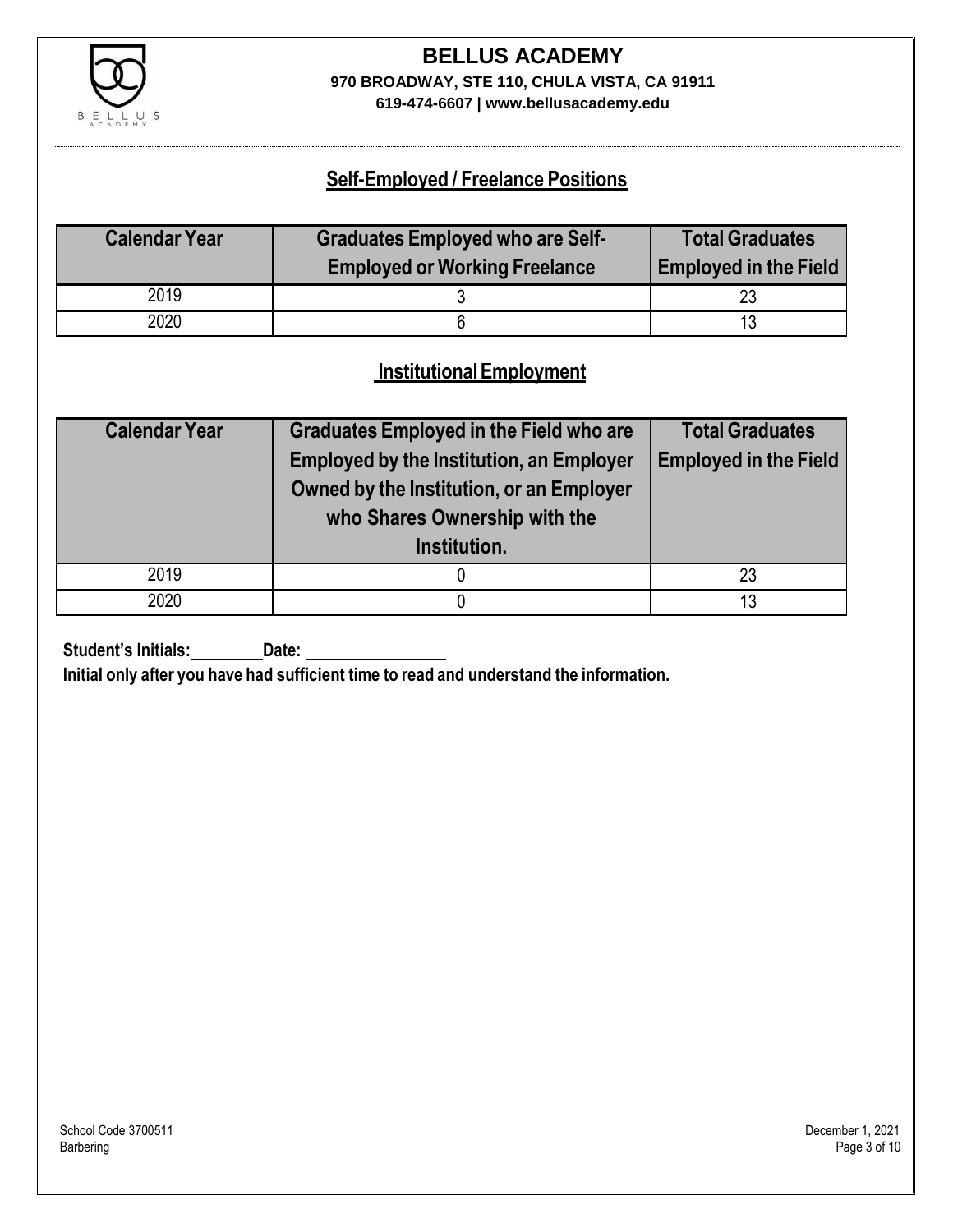

## **BELLUS ACADEMY 970 BROADWAY, STE 110, CHULA VISTA, CA 91911**

**619-474-6607 | www.bellusacademy.edu**

### **Self-Employed / Freelance Positions**

| <b>Calendar Year</b> | <b>Graduates Employed who are Self-</b> | <b>Total Graduates</b>       |
|----------------------|-----------------------------------------|------------------------------|
|                      | <b>Employed or Working Freelance</b>    | <b>Employed in the Field</b> |
| 2019                 |                                         |                              |
| 2020                 |                                         |                              |

### **InstitutionalEmployment**

| <b>Calendar Year</b> | <b>Graduates Employed in the Field who are</b><br><b>Employed by the Institution, an Employer</b><br>Owned by the Institution, or an Employer<br>who Shares Ownership with the<br>Institution. | <b>Total Graduates</b><br><b>Employed in the Field</b> |
|----------------------|------------------------------------------------------------------------------------------------------------------------------------------------------------------------------------------------|--------------------------------------------------------|
| 2019                 |                                                                                                                                                                                                | 23                                                     |
| 2020                 |                                                                                                                                                                                                | 13                                                     |

**Student's Initials:** Date:

**Initial only after you have had sufficient time to read and understand the information.**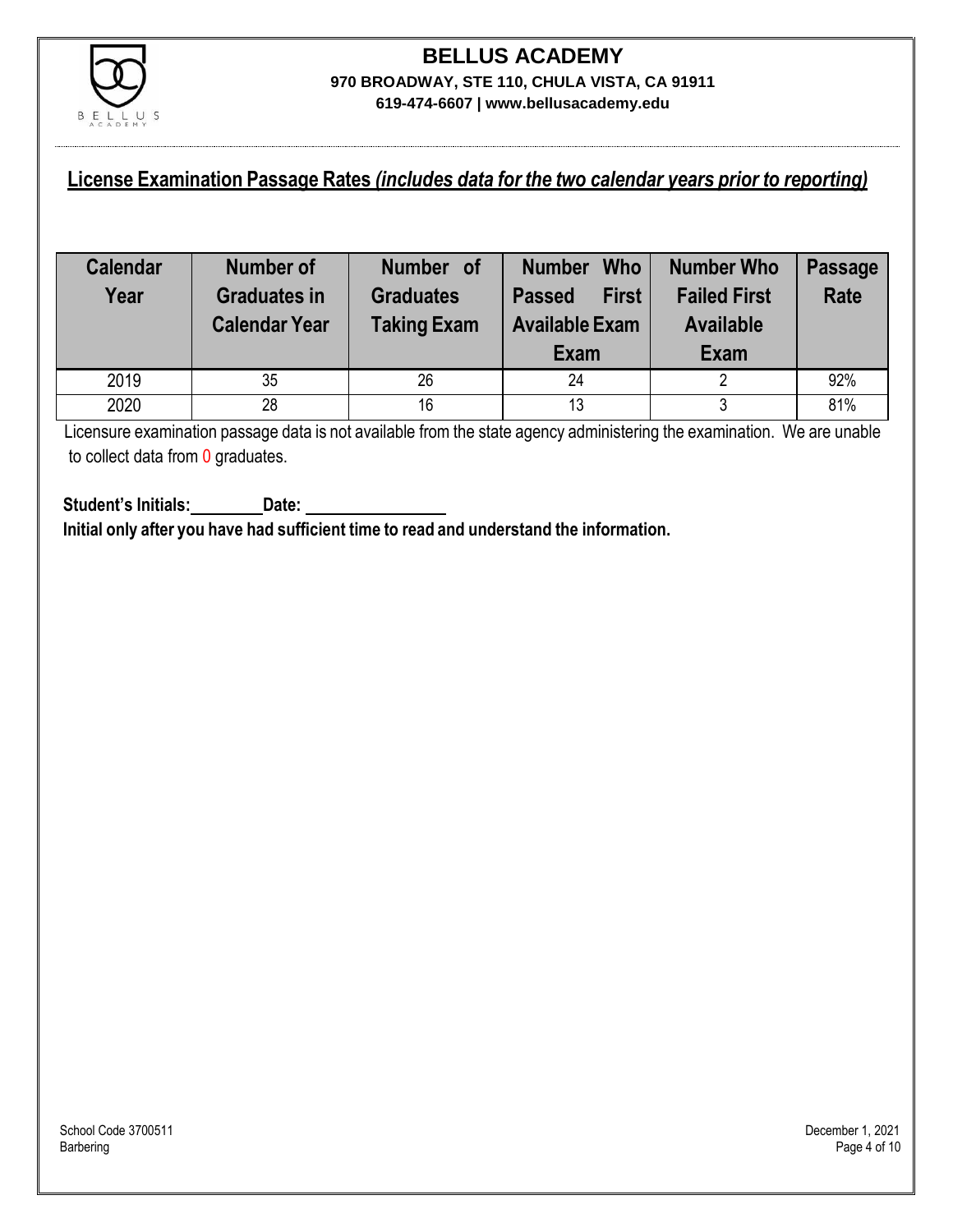

#### **License Examination Passage Rates** *(includes data for the two calendar years prior to reporting)*

| <b>Calendar</b><br>Year | <b>Number of</b><br><b>Graduates in</b><br><b>Calendar Year</b> | Number of<br><b>Graduates</b><br><b>Taking Exam</b> | <b>Who</b><br><b>Number</b><br><b>First</b><br><b>Passed</b><br><b>Available Exam</b><br>Exam | <b>Number Who</b><br><b>Failed First</b><br><b>Available</b><br>Exam | <b>Passage</b><br><b>Rate</b> |
|-------------------------|-----------------------------------------------------------------|-----------------------------------------------------|-----------------------------------------------------------------------------------------------|----------------------------------------------------------------------|-------------------------------|
| 2019                    | 35                                                              | 26                                                  | 24                                                                                            |                                                                      | 92%                           |
| 2020                    | 28                                                              | 16                                                  | 13                                                                                            |                                                                      | 81%                           |

Licensure examination passage data is not available from the state agency administering the examination. We are unable to collect data from 0 graduates.

**Student's Initials: Date: Initial only after you have had sufficient time to read and understand the information.**

School Code 3700511 December 1, 2021<br>Barbering Page 4 of 10 Barbering Page 4 of 10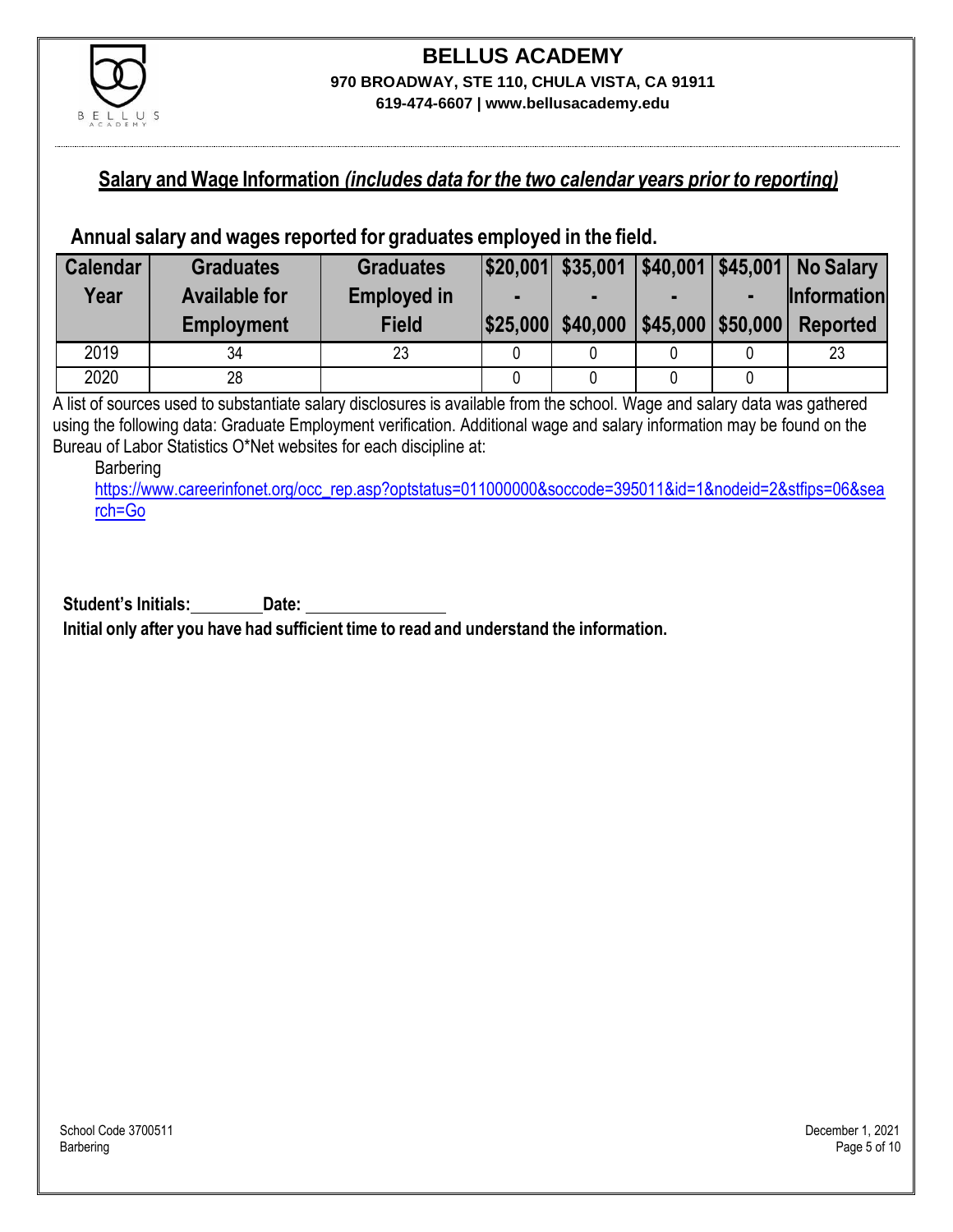

### **Salary and Wage Information** *(includes data for the two calendar years prior to reporting)*

#### **Annual salary and wages reported for graduates employed in the field.**

| <b>Calendar</b> | <b>Graduates</b>     | <b>Graduates</b>   |                   |                        | $ $20,001 $ \$35,001 $ $40,001 $ \$45,001 No Salary |
|-----------------|----------------------|--------------------|-------------------|------------------------|-----------------------------------------------------|
| Year            | <b>Available for</b> | <b>Employed in</b> |                   |                        | <b>Information</b>                                  |
|                 | <b>Employment</b>    | <b>Field</b>       | \$25,000 \$40,000 | $ $45,000$ \\$50,000 \ | <b>Reported</b>                                     |
| 2019            | 34                   | 23                 |                   |                        | 23                                                  |
| 2020            | 28                   |                    |                   |                        |                                                     |

A list of sources used to substantiate salary disclosures is available from the school. Wage and salary data was gathered using the following data: Graduate Employment verification. Additional wage and salary information may be found on the Bureau of Labor Statistics O\*Net websites for each discipline at:

Barbering

[https://www.careerinfonet.org/occ\\_rep.asp?optstatus=011000000&soccode=395011&id=1&nodeid=2&stfips=06&sea](https://www.careerinfonet.org/occ_rep.asp?optstatus=011000000&soccode=395011&id=1&nodeid=2&stfips=06&search=Go) [rch=Go](https://www.careerinfonet.org/occ_rep.asp?optstatus=011000000&soccode=395011&id=1&nodeid=2&stfips=06&search=Go)

**Student's Initials: Date: Initial only after you have had sufficient time to read and understand the information.**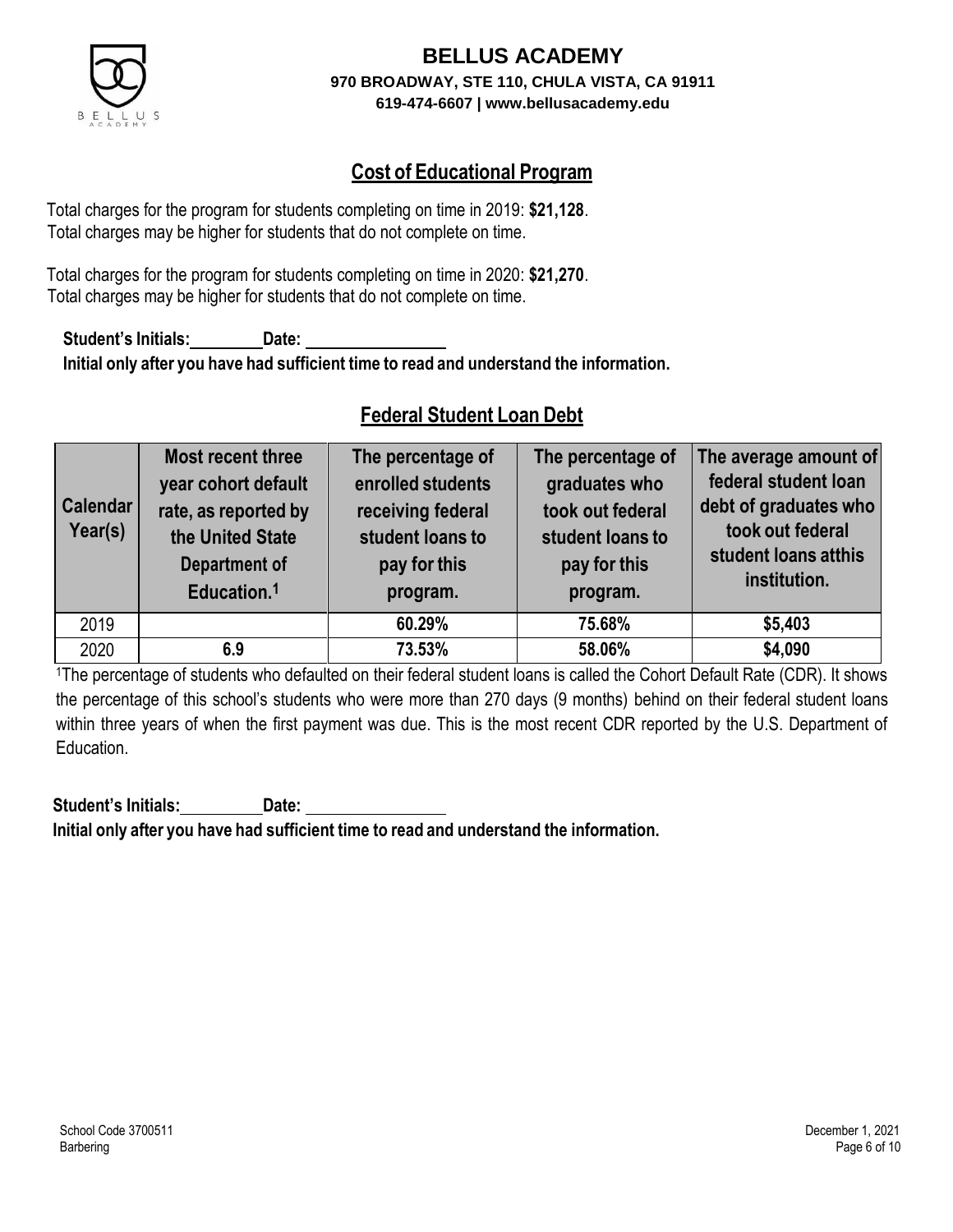

### **Cost of Educational Program**

Total charges for the program for students completing on time in 2019: **\$21,128**. Total charges may be higher for students that do not complete on time.

Total charges for the program for students completing on time in 2020: **\$21,270**. Total charges may be higher for students that do not complete on time.

**Student's Initials: Date: Initial only after you have had sufficient time to read and understand the information.**

### **Federal Student Loan Debt**

| <b>Calendar</b><br>Year(s) | Most recent three<br>year cohort default<br>rate, as reported by<br>the United State<br>Department of<br>Education. <sup>1</sup> | The percentage of<br>enrolled students<br>receiving federal<br>student loans to<br>pay for this<br>program. | The percentage of<br>graduates who<br>took out federal<br>student loans to<br>pay for this<br>program. | The average amount of<br>federal student loan<br>debt of graduates who<br>took out federal<br>student loans atthis<br>institution. |
|----------------------------|----------------------------------------------------------------------------------------------------------------------------------|-------------------------------------------------------------------------------------------------------------|--------------------------------------------------------------------------------------------------------|------------------------------------------------------------------------------------------------------------------------------------|
| 2019                       |                                                                                                                                  | 60.29%                                                                                                      | 75.68%                                                                                                 | \$5,403                                                                                                                            |
| 2020                       | 6.9                                                                                                                              | 73.53%                                                                                                      | 58.06%                                                                                                 | \$4,090                                                                                                                            |

<sup>1</sup>The percentage of students who defaulted on their federal student loans is called the Cohort Default Rate (CDR). It shows the percentage of this school's students who were more than 270 days (9 months) behind on their federal student loans within three years of when the first payment was due. This is the most recent CDR reported by the U.S. Department of Education.

**Student's Initials: Date: Initial only after you have had sufficient time to read and understand the information.**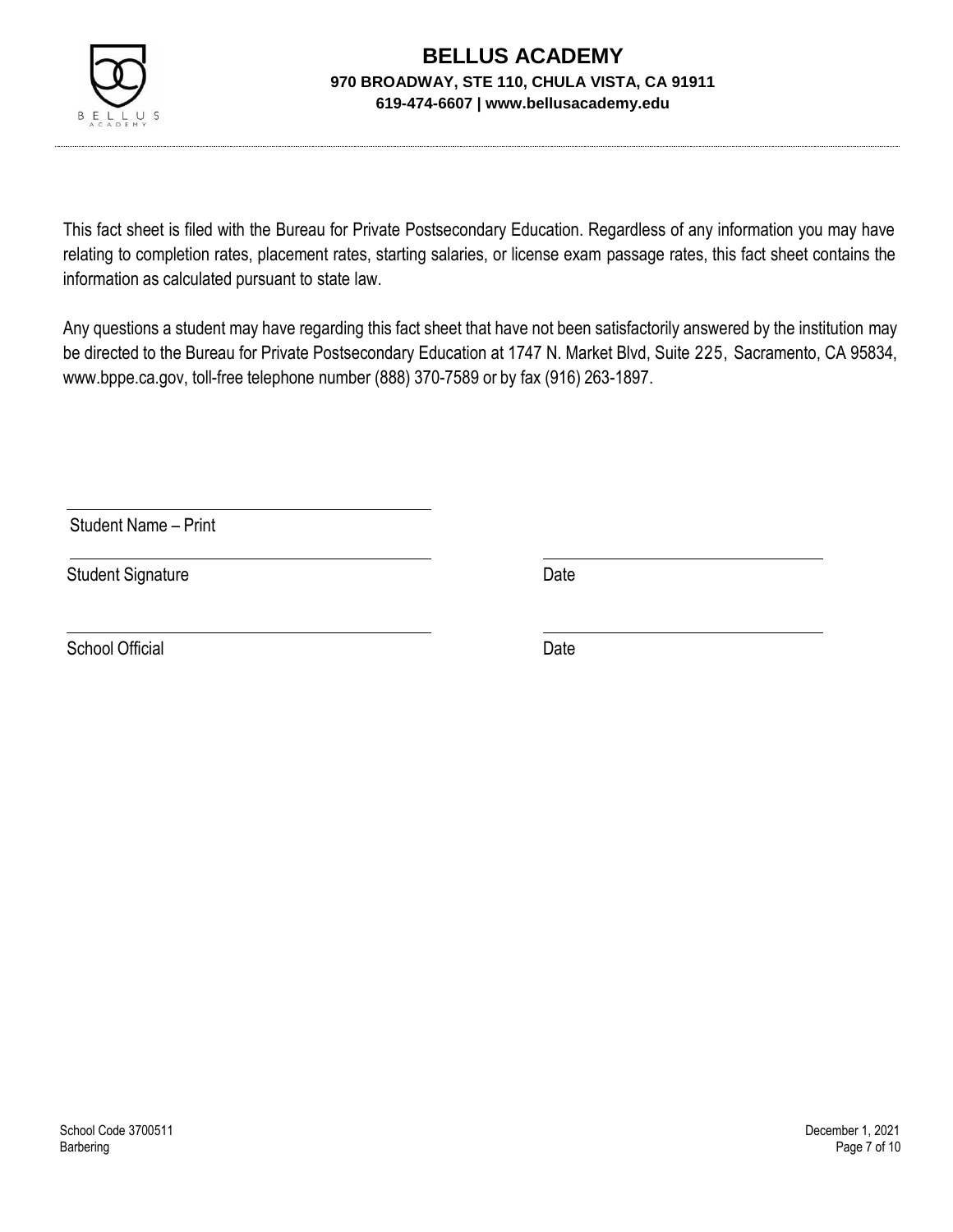

This fact sheet is filed with the Bureau for Private Postsecondary Education. Regardless of any information you may have relating to completion rates, placement rates, starting salaries, or license exam passage rates, this fact sheet contains the information as calculated pursuant to state law.

Any questions a student may have regarding this fact sheet that have not been satisfactorily answered by the institution may be directed to the Bureau for Private Postsecondary Education at 1747 N. Market Blvd, Suite 225, Sacramento, CA 95834, [www.bppe.ca.gov,](http://www.bppe.ca.gov/) toll-free telephone number (888) 370-7589 or by fax (916) 263-1897.

Student Name – Print

Student Signature Date

School Official Date Date Date Date Date Date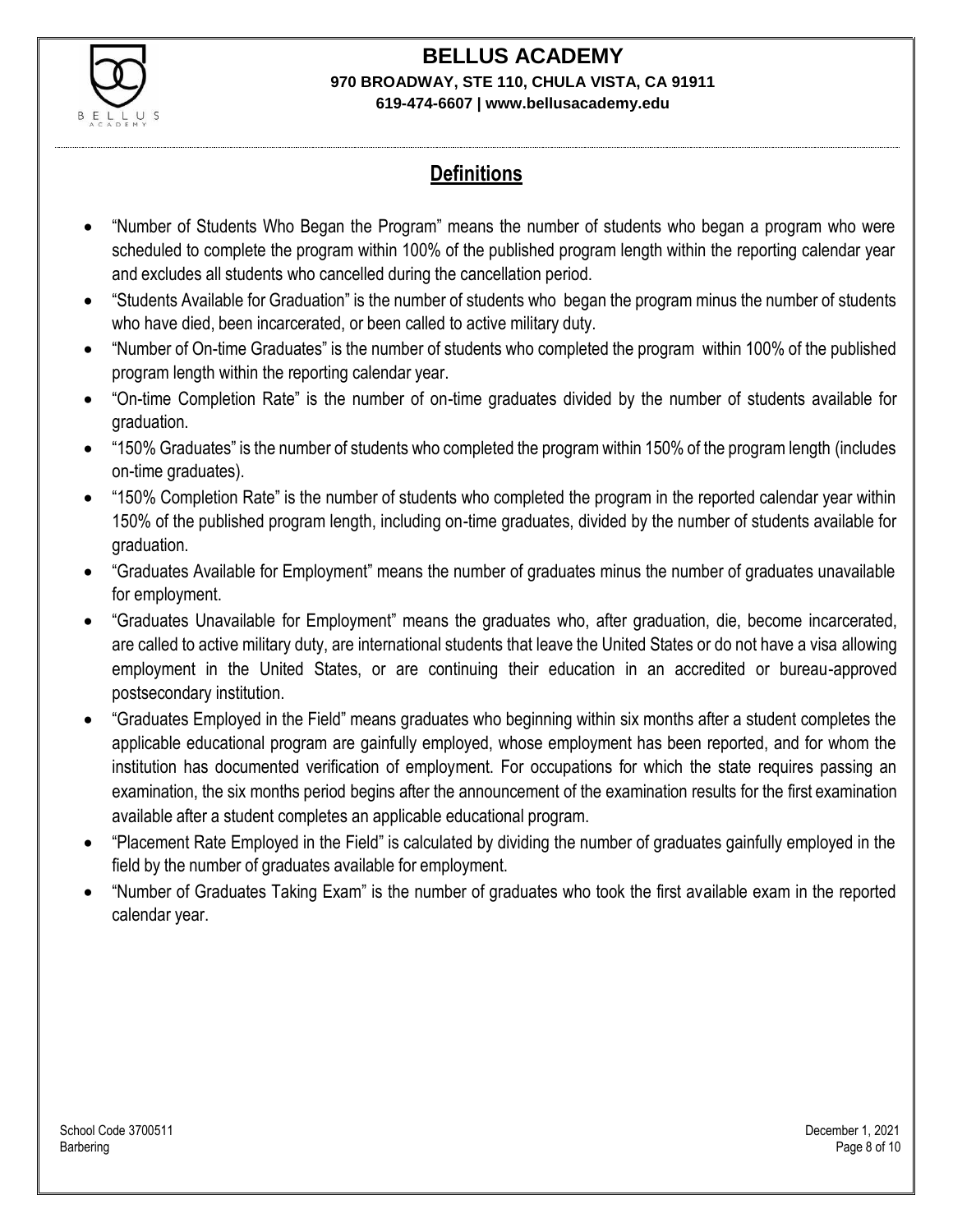

### **Definitions**

- "Number of Students Who Began the Program" means the number of students who began a program who were scheduled to complete the program within 100% of the published program length within the reporting calendar year and excludes all students who cancelled during the cancellation period.
- "Students Available for Graduation" is the number of students who began the program minus the number of students who have died, been incarcerated, or been called to active military duty.
- "Number of On-time Graduates" is the number of students who completed the program within 100% of the published program length within the reporting calendar year.
- "On-time Completion Rate" is the number of on-time graduates divided by the number of students available for graduation.
- "150% Graduates" is the number of students who completed the program within 150% of the program length (includes on-time graduates).
- "150% Completion Rate" is the number of students who completed the program in the reported calendar year within 150% of the published program length, including on-time graduates, divided by the number of students available for graduation.
- "Graduates Available for Employment" means the number of graduates minus the number of graduates unavailable for employment.
- "Graduates Unavailable for Employment" means the graduates who, after graduation, die, become incarcerated, are called to active military duty, are international students that leave the United States or do not have a visa allowing employment in the United States, or are continuing their education in an accredited or bureau-approved postsecondary institution.
- "Graduates Employed in the Field" means graduates who beginning within six months after a student completes the applicable educational program are gainfully employed, whose employment has been reported, and for whom the institution has documented verification of employment. For occupations for which the state requires passing an examination, the six months period begins after the announcement of the examination results for the first examination available after a student completes an applicable educational program.
- "Placement Rate Employed in the Field" is calculated by dividing the number of graduates gainfully employed in the field by the number of graduates available for employment.
- "Number of Graduates Taking Exam" is the number of graduates who took the first available exam in the reported calendar year.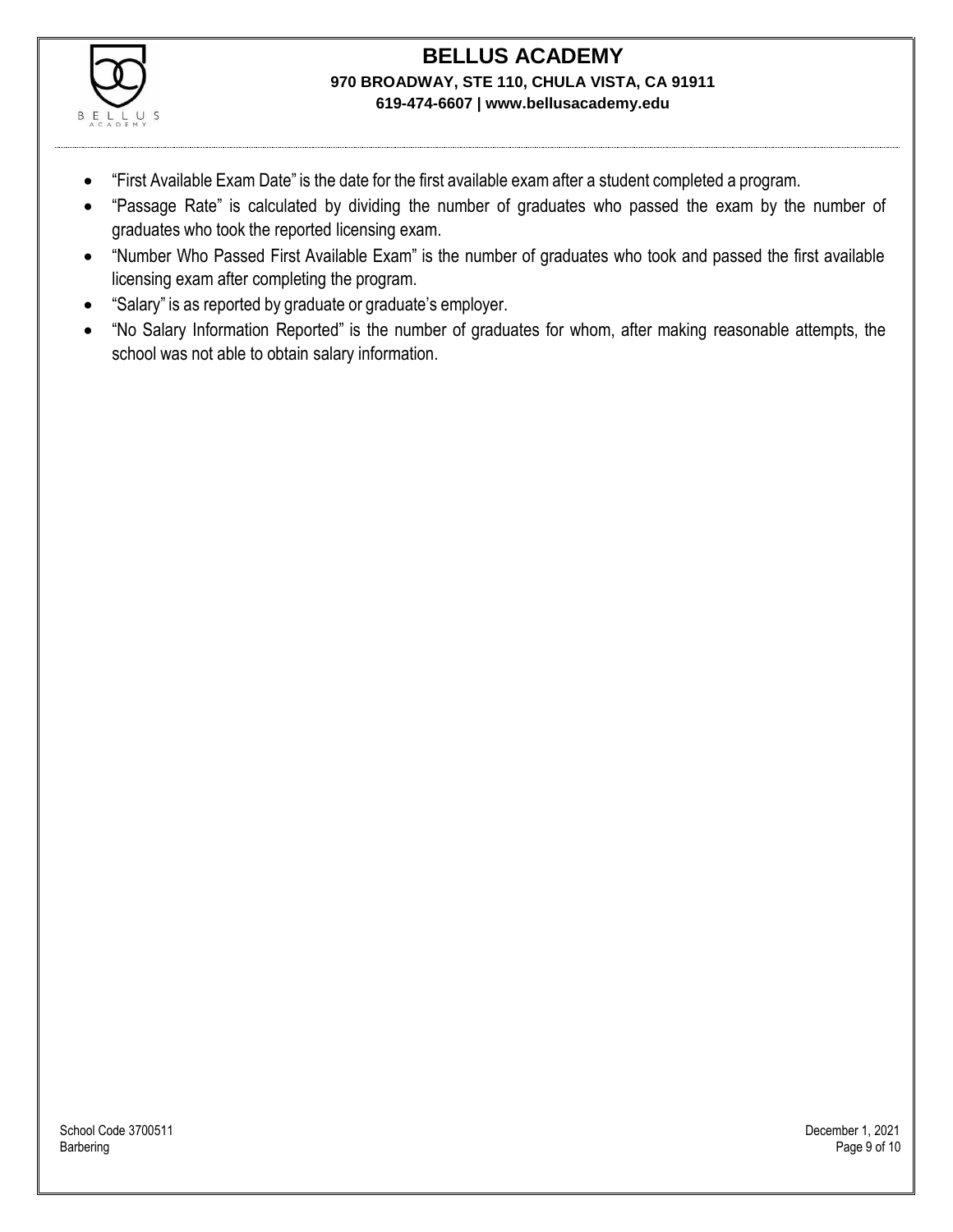

- "First Available Exam Date" is the date for the first available exam after a student completed a program.
- "Passage Rate" is calculated by dividing the number of graduates who passed the exam by the number of graduates who took the reported licensing exam.
- "Number Who Passed First Available Exam" is the number of graduates who took and passed the first available licensing exam after completing the program.
- "Salary" is as reported by graduate or graduate's employer.
- "No Salary Information Reported" is the number of graduates for whom, after making reasonable attempts, the school was not able to obtain salary information.